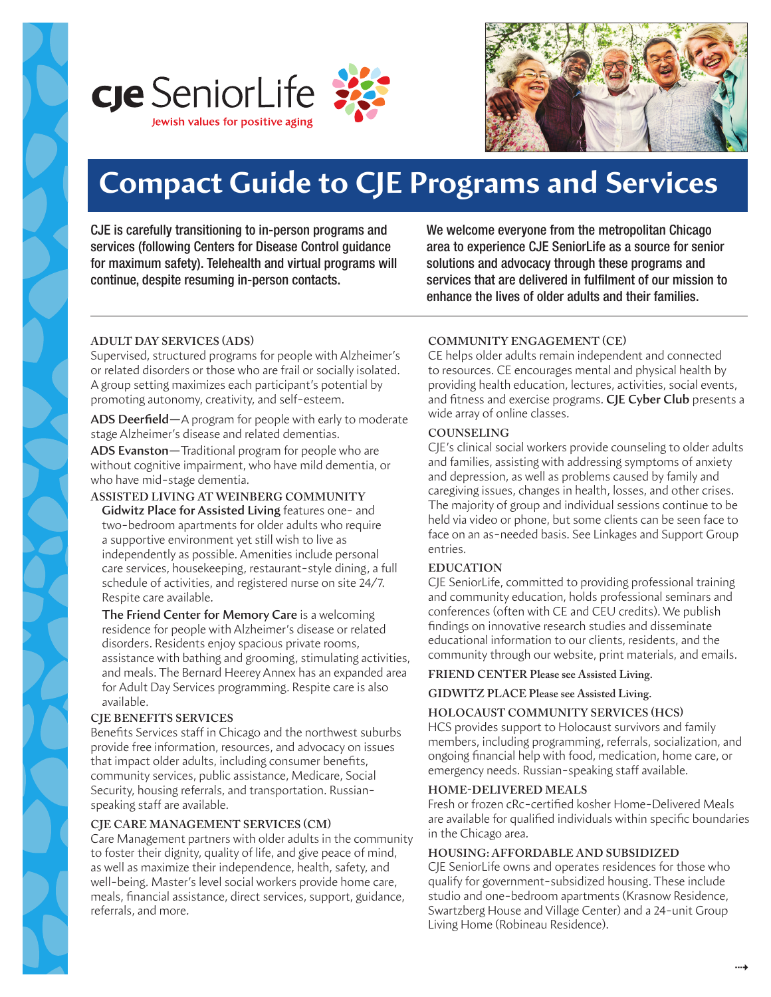



# **Compact Guide to CJE Programs and Services**

CJE is carefully transitioning to in-person programs and services (following Centers for Disease Control guidance for maximum safety). Telehealth and virtual programs will continue, despite resuming in-person contacts.

We welcome everyone from the metropolitan Chicago area to experience CJE SeniorLife as a source for senior solutions and advocacy through these programs and services that are delivered in fulfilment of our mission to enhance the lives of older adults and their families.

## **ADULT DAY SERVICES (ADS)**

Supervised, structured programs for people with Alzheimer's or related disorders or those who are frail or socially isolated. A group setting maximizes each participant's potential by promoting autonomy, creativity, and self-esteem.

**ADS Deerfield—**A program for people with early to moderate stage Alzheimer's disease and related dementias.

**ADS Evanston—**Traditional program for people who are without cognitive impairment, who have mild dementia, or who have mid-stage dementia.

## **ASSISTED LIVING AT WEINBERG COMMUNITY**

**Gidwitz Place for Assisted Living** features one- and two-bedroom apartments for older adults who require a supportive environment yet still wish to live as independently as possible. Amenities include personal care services, housekeeping, restaurant-style dining, a full schedule of activities, and registered nurse on site 24/7. Respite care available.

**The Friend Center for Memory Care** is a welcoming residence for people with Alzheimer's disease or related disorders. Residents enjoy spacious private rooms, assistance with bathing and grooming, stimulating activities, and meals. The Bernard Heerey Annex has an expanded area for Adult Day Services programming. Respite care is also available.

#### **CJE BENEFITS SERVICES**

Benefits Services staff in Chicago and the northwest suburbs provide free information, resources, and advocacy on issues that impact older adults, including consumer benefits, community services, public assistance, Medicare, Social Security, housing referrals, and transportation. Russianspeaking staff are available.

## **CJE CARE MANAGEMENT SERVICES (CM)**

Care Management partners with older adults in the community to foster their dignity, quality of life, and give peace of mind, as well as maximize their independence, health, safety, and well-being. Master's level social workers provide home care, meals, financial assistance, direct services, support, guidance, referrals, and more.

## **COMMUNITY ENGAGEMENT (CE)**

CE helps older adults remain independent and connected to resources. CE encourages mental and physical health by providing health education, lectures, activities, social events, and fitness and exercise programs. **CJE Cyber Club** presents a wide array of online classes.

#### **COUNSELING**

CJE's clinical social workers provide counseling to older adults and families, assisting with addressing symptoms of anxiety and depression, as well as problems caused by family and caregiving issues, changes in health, losses, and other crises. The majority of group and individual sessions continue to be held via video or phone, but some clients can be seen face to face on an as-needed basis. See Linkages and Support Group entries.

## **EDUCATION**

CJE SeniorLife, committed to providing professional training and community education, holds professional seminars and conferences (often with CE and CEU credits). We publish findings on innovative research studies and disseminate educational information to our clients, residents, and the community through our website, print materials, and emails.

#### **FRIEND CENTER Please see Assisted Living.**

**GIDWITZ PLACE Please see Assisted Living.**

#### **HOLOCAUST COMMUNITY SERVICES (HCS)**

HCS provides support to Holocaust survivors and family members, including programming, referrals, socialization, and ongoing financial help with food, medication, home care, or emergency needs. Russian-speaking staff available.

## **HOME-DELIVERED MEALS**

Fresh or frozen cRc-certified kosher Home-Delivered Meals are available for qualified individuals within specific boundaries in the Chicago area.

## **HOUSING: AFFORDABLE AND SUBSIDIZED**

CJE SeniorLife owns and operates residences for those who qualify for government-subsidized housing. These include studio and one-bedroom apartments (Krasnow Residence, Swartzberg House and Village Center) and a 24-unit Group Living Home (Robineau Residence).